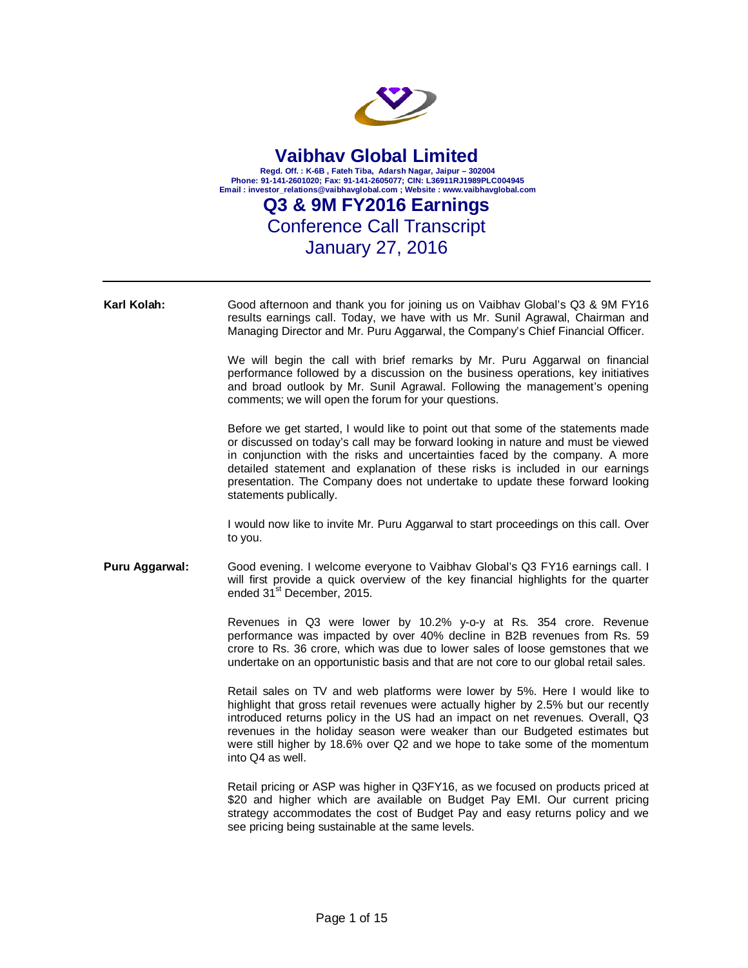

| Karl Kolah:    | Good afternoon and thank you for joining us on Vaibhav Global's Q3 & 9M FY16<br>results earnings call. Today, we have with us Mr. Sunil Agrawal, Chairman and<br>Managing Director and Mr. Puru Aggarwal, the Company's Chief Financial Officer.                                                                                                                                                                                                 |
|----------------|--------------------------------------------------------------------------------------------------------------------------------------------------------------------------------------------------------------------------------------------------------------------------------------------------------------------------------------------------------------------------------------------------------------------------------------------------|
|                | We will begin the call with brief remarks by Mr. Puru Aggarwal on financial<br>performance followed by a discussion on the business operations, key initiatives<br>and broad outlook by Mr. Sunil Agrawal. Following the management's opening<br>comments; we will open the forum for your questions.                                                                                                                                            |
|                | Before we get started, I would like to point out that some of the statements made<br>or discussed on today's call may be forward looking in nature and must be viewed<br>in conjunction with the risks and uncertainties faced by the company. A more<br>detailed statement and explanation of these risks is included in our earnings<br>presentation. The Company does not undertake to update these forward looking<br>statements publically. |
|                | I would now like to invite Mr. Puru Aggarwal to start proceedings on this call. Over<br>to you.                                                                                                                                                                                                                                                                                                                                                  |
| Puru Aggarwal: | Good evening. I welcome everyone to Vaibhav Global's Q3 FY16 earnings call. I<br>will first provide a quick overview of the key financial highlights for the quarter<br>ended 31 <sup>st</sup> December, 2015.                                                                                                                                                                                                                                   |
|                | Revenues in Q3 were lower by 10.2% y-o-y at Rs. 354 crore. Revenue<br>performance was impacted by over 40% decline in B2B revenues from Rs. 59<br>crore to Rs. 36 crore, which was due to lower sales of loose gemstones that we<br>undertake on an opportunistic basis and that are not core to our global retail sales.                                                                                                                        |
|                | Retail sales on TV and web platforms were lower by 5%. Here I would like to<br>highlight that gross retail revenues were actually higher by 2.5% but our recently<br>introduced returns policy in the US had an impact on net revenues. Overall, Q3<br>revenues in the holiday season were weaker than our Budgeted estimates but<br>were still higher by 18.6% over Q2 and we hope to take some of the momentum<br>into Q4 as well.             |
|                | Retail pricing or ASP was higher in Q3FY16, as we focused on products priced at<br>\$20 and higher which are available on Budget Pay EMI. Our current pricing<br>strategy accommodates the cost of Budget Pay and easy returns policy and we<br>see pricing being sustainable at the same levels.                                                                                                                                                |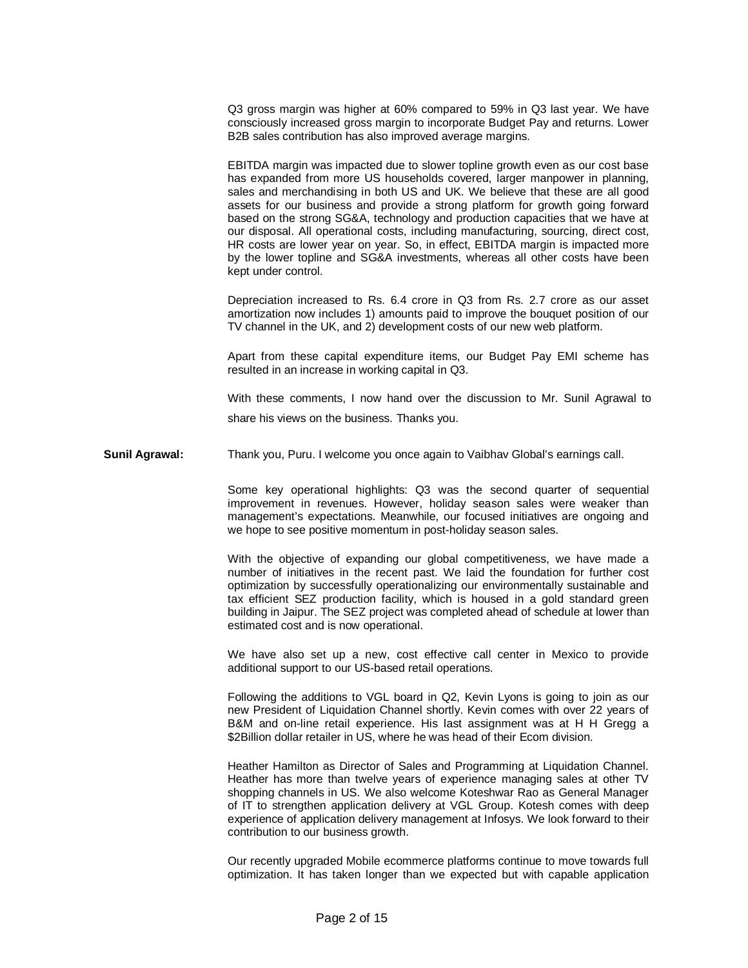Q3 gross margin was higher at 60% compared to 59% in Q3 last year. We have consciously increased gross margin to incorporate Budget Pay and returns. Lower B2B sales contribution has also improved average margins.

EBITDA margin was impacted due to slower topline growth even as our cost base has expanded from more US households covered, larger manpower in planning, sales and merchandising in both US and UK. We believe that these are all good assets for our business and provide a strong platform for growth going forward based on the strong SG&A, technology and production capacities that we have at our disposal. All operational costs, including manufacturing, sourcing, direct cost, HR costs are lower year on year. So, in effect, EBITDA margin is impacted more by the lower topline and SG&A investments, whereas all other costs have been kept under control.

Depreciation increased to Rs. 6.4 crore in Q3 from Rs. 2.7 crore as our asset amortization now includes 1) amounts paid to improve the bouquet position of our TV channel in the UK, and 2) development costs of our new web platform.

Apart from these capital expenditure items, our Budget Pay EMI scheme has resulted in an increase in working capital in Q3.

With these comments, I now hand over the discussion to Mr. Sunil Agrawal to share his views on the business. Thanks you.

**Sunil Agrawal:** Thank you, Puru. I welcome you once again to Vaibhav Global's earnings call.

Some key operational highlights: Q3 was the second quarter of sequential improvement in revenues. However, holiday season sales were weaker than management's expectations. Meanwhile, our focused initiatives are ongoing and we hope to see positive momentum in post-holiday season sales.

With the objective of expanding our global competitiveness, we have made a number of initiatives in the recent past. We laid the foundation for further cost optimization by successfully operationalizing our environmentally sustainable and tax efficient SEZ production facility, which is housed in a gold standard green building in Jaipur. The SEZ project was completed ahead of schedule at lower than estimated cost and is now operational.

We have also set up a new, cost effective call center in Mexico to provide additional support to our US-based retail operations.

Following the additions to VGL board in Q2, Kevin Lyons is going to join as our new President of Liquidation Channel shortly. Kevin comes with over 22 years of B&M and on-line retail experience. His last assignment was at H H Gregg a \$2Billion dollar retailer in US, where he was head of their Ecom division.

Heather Hamilton as Director of Sales and Programming at Liquidation Channel. Heather has more than twelve years of experience managing sales at other TV shopping channels in US. We also welcome Koteshwar Rao as General Manager of IT to strengthen application delivery at VGL Group. Kotesh comes with deep experience of application delivery management at Infosys. We look forward to their contribution to our business growth.

Our recently upgraded Mobile ecommerce platforms continue to move towards full optimization. It has taken longer than we expected but with capable application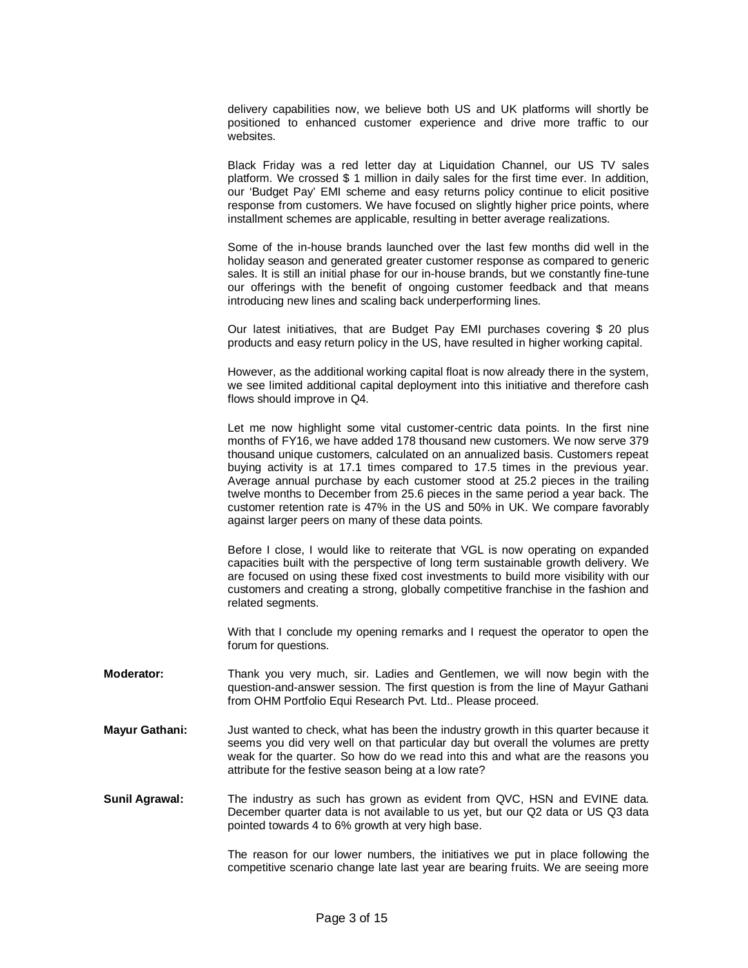delivery capabilities now, we believe both US and UK platforms will shortly be positioned to enhanced customer experience and drive more traffic to our websites.

Black Friday was a red letter day at Liquidation Channel, our US TV sales platform. We crossed \$ 1 million in daily sales for the first time ever. In addition, our 'Budget Pay' EMI scheme and easy returns policy continue to elicit positive response from customers. We have focused on slightly higher price points, where installment schemes are applicable, resulting in better average realizations.

Some of the in-house brands launched over the last few months did well in the holiday season and generated greater customer response as compared to generic sales. It is still an initial phase for our in-house brands, but we constantly fine-tune our offerings with the benefit of ongoing customer feedback and that means introducing new lines and scaling back underperforming lines.

Our latest initiatives, that are Budget Pay EMI purchases covering \$ 20 plus products and easy return policy in the US, have resulted in higher working capital.

However, as the additional working capital float is now already there in the system, we see limited additional capital deployment into this initiative and therefore cash flows should improve in Q4.

Let me now highlight some vital customer-centric data points. In the first nine months of FY16, we have added 178 thousand new customers. We now serve 379 thousand unique customers, calculated on an annualized basis. Customers repeat buying activity is at 17.1 times compared to 17.5 times in the previous year. Average annual purchase by each customer stood at 25.2 pieces in the trailing twelve months to December from 25.6 pieces in the same period a year back. The customer retention rate is 47% in the US and 50% in UK. We compare favorably against larger peers on many of these data points.

Before I close, I would like to reiterate that VGL is now operating on expanded capacities built with the perspective of long term sustainable growth delivery. We are focused on using these fixed cost investments to build more visibility with our customers and creating a strong, globally competitive franchise in the fashion and related segments.

With that I conclude my opening remarks and I request the operator to open the forum for questions.

- **Moderator:** Thank you very much, sir. Ladies and Gentlemen, we will now begin with the question-and-answer session. The first question is from the line of Mayur Gathani from OHM Portfolio Equi Research Pvt. Ltd.. Please proceed.
- **Mayur Gathani:** Just wanted to check, what has been the industry growth in this quarter because it seems you did very well on that particular day but overall the volumes are pretty weak for the quarter. So how do we read into this and what are the reasons you attribute for the festive season being at a low rate?
- **Sunil Agrawal:** The industry as such has grown as evident from QVC, HSN and EVINE data. December quarter data is not available to us yet, but our Q2 data or US Q3 data pointed towards 4 to 6% growth at very high base.

The reason for our lower numbers, the initiatives we put in place following the competitive scenario change late last year are bearing fruits. We are seeing more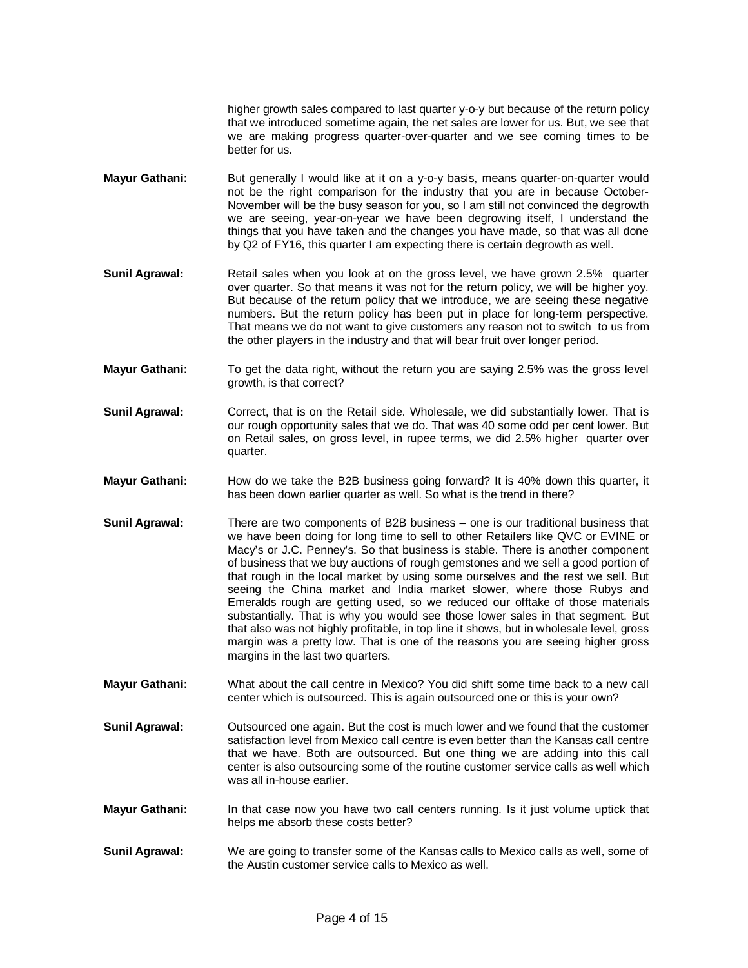higher growth sales compared to last quarter y-o-y but because of the return policy that we introduced sometime again, the net sales are lower for us. But, we see that we are making progress quarter-over-quarter and we see coming times to be better for us.

- **Mayur Gathani:** But generally I would like at it on a y-o-y basis, means quarter-on-quarter would not be the right comparison for the industry that you are in because October-November will be the busy season for you, so I am still not convinced the degrowth we are seeing, year-on-year we have been degrowing itself, I understand the things that you have taken and the changes you have made, so that was all done by Q2 of FY16, this quarter I am expecting there is certain degrowth as well.
- **Sunil Agrawal:** Retail sales when you look at on the gross level, we have grown 2.5% quarter over quarter. So that means it was not for the return policy, we will be higher yoy. But because of the return policy that we introduce, we are seeing these negative numbers. But the return policy has been put in place for long-term perspective. That means we do not want to give customers any reason not to switch to us from the other players in the industry and that will bear fruit over longer period.
- **Mayur Gathani:** To get the data right, without the return you are saying 2.5% was the gross level growth, is that correct?
- **Sunil Agrawal:** Correct, that is on the Retail side. Wholesale, we did substantially lower. That is our rough opportunity sales that we do. That was 40 some odd per cent lower. But on Retail sales, on gross level, in rupee terms, we did 2.5% higher quarter over quarter.
- **Mayur Gathani:** How do we take the B2B business going forward? It is 40% down this quarter, it has been down earlier quarter as well. So what is the trend in there?
- **Sunil Agrawal:** There are two components of B2B business one is our traditional business that we have been doing for long time to sell to other Retailers like QVC or EVINE or Macy's or J.C. Penney's. So that business is stable. There is another component of business that we buy auctions of rough gemstones and we sell a good portion of that rough in the local market by using some ourselves and the rest we sell. But seeing the China market and India market slower, where those Rubys and Emeralds rough are getting used, so we reduced our offtake of those materials substantially. That is why you would see those lower sales in that segment. But that also was not highly profitable, in top line it shows, but in wholesale level, gross margin was a pretty low. That is one of the reasons you are seeing higher gross margins in the last two quarters.
- **Mayur Gathani:** What about the call centre in Mexico? You did shift some time back to a new call center which is outsourced. This is again outsourced one or this is your own?
- **Sunil Agrawal:** Outsourced one again. But the cost is much lower and we found that the customer satisfaction level from Mexico call centre is even better than the Kansas call centre that we have. Both are outsourced. But one thing we are adding into this call center is also outsourcing some of the routine customer service calls as well which was all in-house earlier.
- **Mayur Gathani:** In that case now you have two call centers running. Is it just volume uptick that helps me absorb these costs better?
- **Sunil Agrawal:** We are going to transfer some of the Kansas calls to Mexico calls as well, some of the Austin customer service calls to Mexico as well.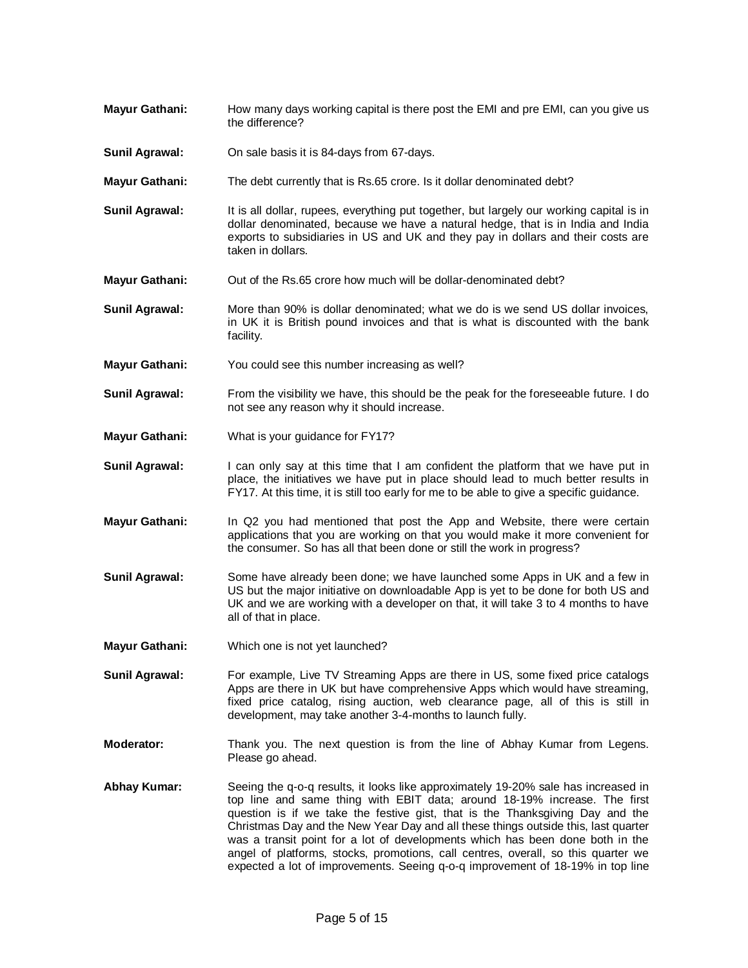- **Mayur Gathani:** How many days working capital is there post the EMI and pre EMI, can you give us the difference?
- **Sunil Agrawal:** On sale basis it is 84-days from 67-days.
- **Mayur Gathani:** The debt currently that is Rs.65 crore. Is it dollar denominated debt?
- **Sunil Agrawal:** It is all dollar, rupees, everything put together, but largely our working capital is in dollar denominated, because we have a natural hedge, that is in India and India exports to subsidiaries in US and UK and they pay in dollars and their costs are taken in dollars.
- **Mayur Gathani:** Out of the Rs.65 crore how much will be dollar-denominated debt?
- **Sunil Agrawal:** More than 90% is dollar denominated; what we do is we send US dollar invoices, in UK it is British pound invoices and that is what is discounted with the bank facility.
- **Mayur Gathani:** You could see this number increasing as well?
- **Sunil Agrawal:** From the visibility we have, this should be the peak for the foreseeable future. I do not see any reason why it should increase.
- **Mayur Gathani:** What is your guidance for FY17?
- **Sunil Agrawal:** I can only say at this time that I am confident the platform that we have put in place, the initiatives we have put in place should lead to much better results in FY17. At this time, it is still too early for me to be able to give a specific guidance.
- **Mayur Gathani:** In Q2 you had mentioned that post the App and Website, there were certain applications that you are working on that you would make it more convenient for the consumer. So has all that been done or still the work in progress?
- **Sunil Agrawal:** Some have already been done; we have launched some Apps in UK and a few in US but the major initiative on downloadable App is yet to be done for both US and UK and we are working with a developer on that, it will take 3 to 4 months to have all of that in place.
- **Mayur Gathani:** Which one is not yet launched?
- **Sunil Agrawal:** For example, Live TV Streaming Apps are there in US, some fixed price catalogs Apps are there in UK but have comprehensive Apps which would have streaming, fixed price catalog, rising auction, web clearance page, all of this is still in development, may take another 3-4-months to launch fully.
- **Moderator:** Thank you. The next question is from the line of Abhay Kumar from Legens. Please go ahead.
- **Abhay Kumar:** Seeing the q-o-q results, it looks like approximately 19-20% sale has increased in top line and same thing with EBIT data; around 18-19% increase. The first question is if we take the festive gist, that is the Thanksgiving Day and the Christmas Day and the New Year Day and all these things outside this, last quarter was a transit point for a lot of developments which has been done both in the angel of platforms, stocks, promotions, call centres, overall, so this quarter we expected a lot of improvements. Seeing q-o-q improvement of 18-19% in top line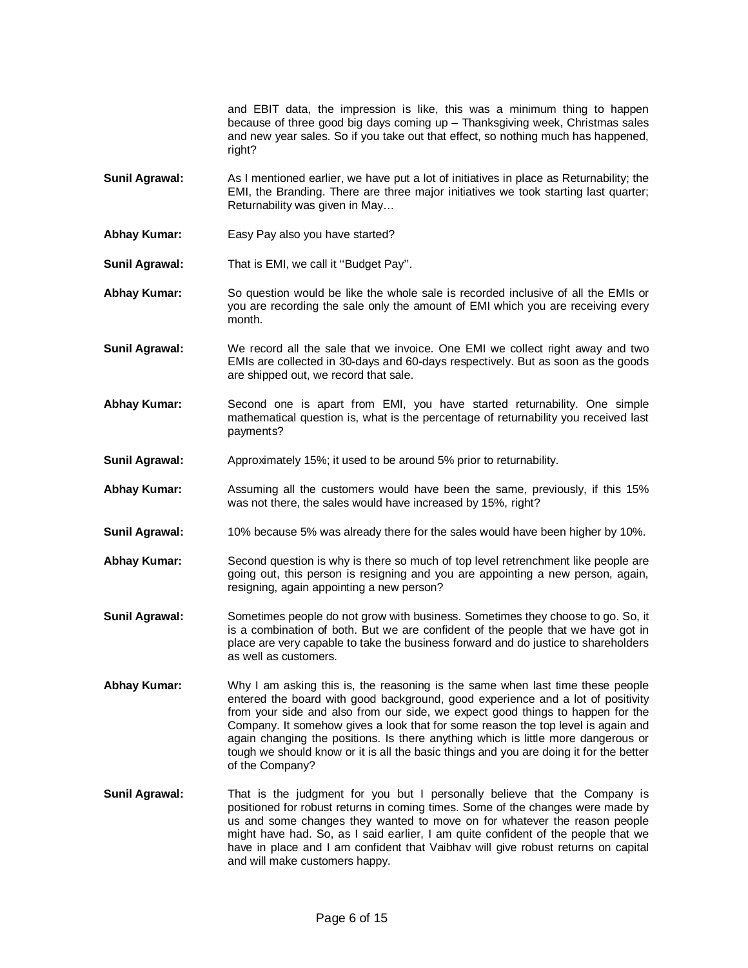and EBIT data, the impression is like, this was a minimum thing to happen because of three good big days coming up – Thanksgiving week, Christmas sales and new year sales. So if you take out that effect, so nothing much has happened, right?

- **Sunil Agrawal:** As I mentioned earlier, we have put a lot of initiatives in place as Returnability; the EMI, the Branding. There are three major initiatives we took starting last quarter; Returnability was given in May…
- **Abhay Kumar:** Easy Pay also you have started?
- **Sunil Agrawal:** That is EMI, we call it ''Budget Pay''.
- **Abhay Kumar:** So question would be like the whole sale is recorded inclusive of all the EMIs or you are recording the sale only the amount of EMI which you are receiving every month.
- **Sunil Agrawal:** We record all the sale that we invoice. One EMI we collect right away and two EMIs are collected in 30-days and 60-days respectively. But as soon as the goods are shipped out, we record that sale.
- **Abhay Kumar:** Second one is apart from EMI, you have started returnability. One simple mathematical question is, what is the percentage of returnability you received last payments?
- **Sunil Agrawal:** Approximately 15%; it used to be around 5% prior to returnability.
- **Abhay Kumar:** Assuming all the customers would have been the same, previously, if this 15% was not there, the sales would have increased by 15%, right?
- **Sunil Agrawal:** 10% because 5% was already there for the sales would have been higher by 10%.
- **Abhay Kumar:** Second question is why is there so much of top level retrenchment like people are going out, this person is resigning and you are appointing a new person, again, resigning, again appointing a new person?
- **Sunil Agrawal:** Sometimes people do not grow with business. Sometimes they choose to go. So, it is a combination of both. But we are confident of the people that we have got in place are very capable to take the business forward and do justice to shareholders as well as customers.
- **Abhay Kumar:** Why I am asking this is, the reasoning is the same when last time these people entered the board with good background, good experience and a lot of positivity from your side and also from our side, we expect good things to happen for the Company. It somehow gives a look that for some reason the top level is again and again changing the positions. Is there anything which is little more dangerous or tough we should know or it is all the basic things and you are doing it for the better of the Company?
- **Sunil Agrawal:** That is the judgment for you but I personally believe that the Company is positioned for robust returns in coming times. Some of the changes were made by us and some changes they wanted to move on for whatever the reason people might have had. So, as I said earlier, I am quite confident of the people that we have in place and I am confident that Vaibhav will give robust returns on capital and will make customers happy.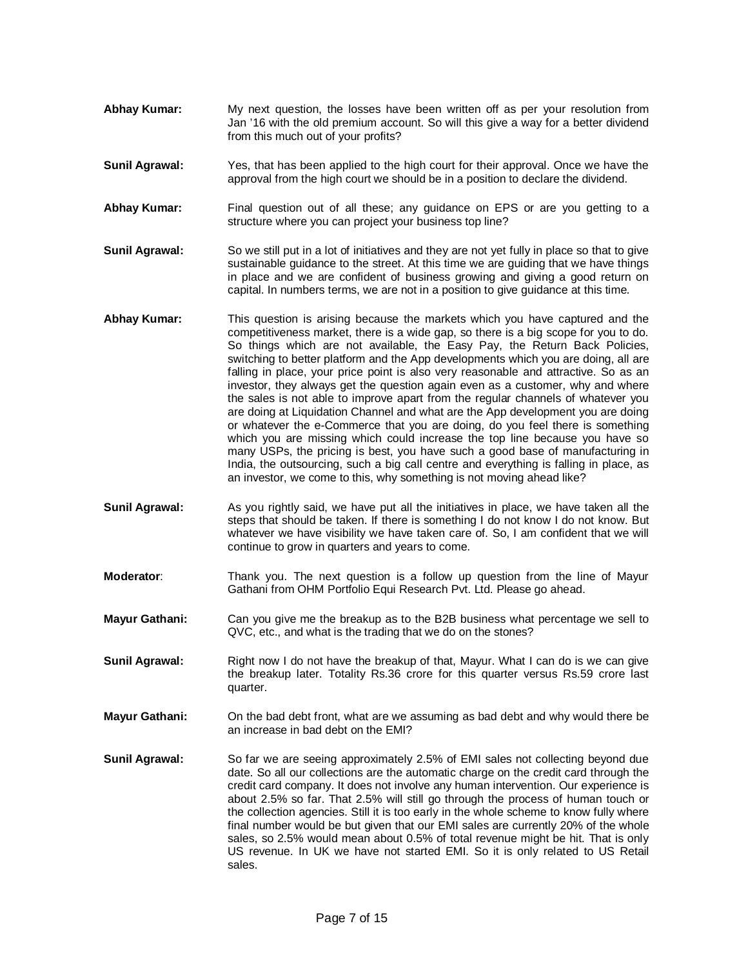- **Abhay Kumar:** My next question, the losses have been written off as per your resolution from Jan '16 with the old premium account. So will this give a way for a better dividend from this much out of your profits?
- **Sunil Agrawal:** Yes, that has been applied to the high court for their approval. Once we have the approval from the high court we should be in a position to declare the dividend.
- **Abhay Kumar:** Final question out of all these; any guidance on EPS or are you getting to a structure where you can project your business top line?
- **Sunil Agrawal:** So we still put in a lot of initiatives and they are not yet fully in place so that to give sustainable guidance to the street. At this time we are guiding that we have things in place and we are confident of business growing and giving a good return on capital. In numbers terms, we are not in a position to give guidance at this time.
- **Abhay Kumar:** This question is arising because the markets which you have captured and the competitiveness market, there is a wide gap, so there is a big scope for you to do. So things which are not available, the Easy Pay, the Return Back Policies, switching to better platform and the App developments which you are doing, all are falling in place, your price point is also very reasonable and attractive. So as an investor, they always get the question again even as a customer, why and where the sales is not able to improve apart from the regular channels of whatever you are doing at Liquidation Channel and what are the App development you are doing or whatever the e-Commerce that you are doing, do you feel there is something which you are missing which could increase the top line because you have so many USPs, the pricing is best, you have such a good base of manufacturing in India, the outsourcing, such a big call centre and everything is falling in place, as an investor, we come to this, why something is not moving ahead like?
- **Sunil Agrawal:** As you rightly said, we have put all the initiatives in place, we have taken all the steps that should be taken. If there is something I do not know I do not know. But whatever we have visibility we have taken care of. So, I am confident that we will continue to grow in quarters and years to come.
- **Moderator**: Thank you. The next question is a follow up question from the line of Mayur Gathani from OHM Portfolio Equi Research Pvt. Ltd. Please go ahead.
- **Mayur Gathani:** Can you give me the breakup as to the B2B business what percentage we sell to QVC, etc., and what is the trading that we do on the stones?
- **Sunil Agrawal:** Right now I do not have the breakup of that, Mayur. What I can do is we can give the breakup later. Totality Rs.36 crore for this quarter versus Rs.59 crore last quarter.
- **Mayur Gathani:** On the bad debt front, what are we assuming as bad debt and why would there be an increase in bad debt on the EMI?
- **Sunil Agrawal:** So far we are seeing approximately 2.5% of EMI sales not collecting beyond due date. So all our collections are the automatic charge on the credit card through the credit card company. It does not involve any human intervention. Our experience is about 2.5% so far. That 2.5% will still go through the process of human touch or the collection agencies. Still it is too early in the whole scheme to know fully where final number would be but given that our EMI sales are currently 20% of the whole sales, so 2.5% would mean about 0.5% of total revenue might be hit. That is only US revenue. In UK we have not started EMI. So it is only related to US Retail sales.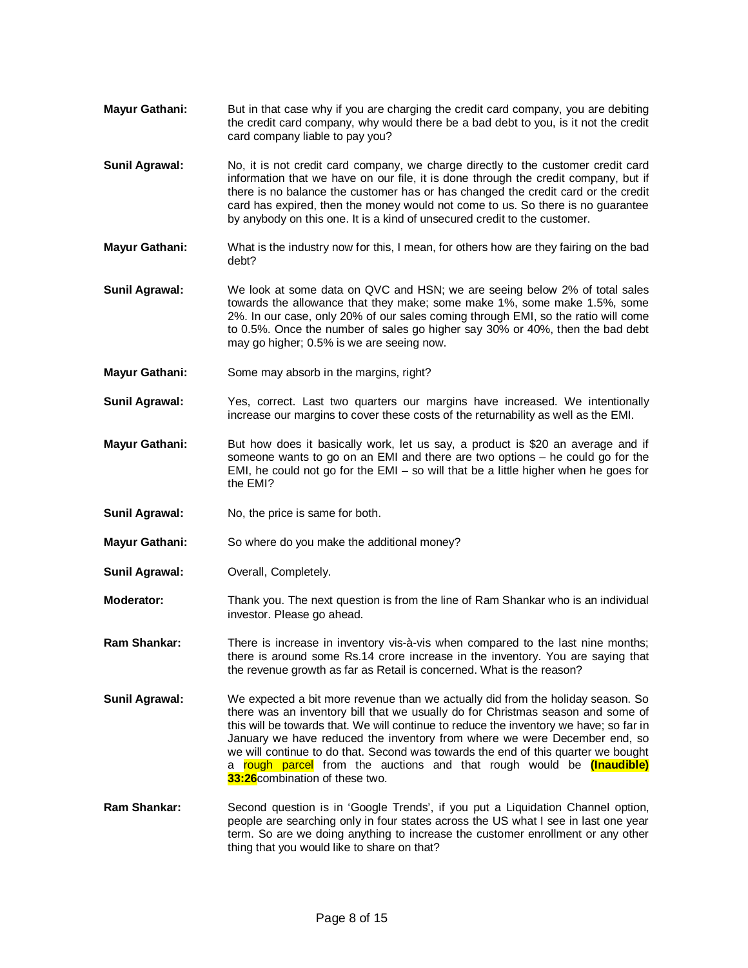- **Mayur Gathani:** But in that case why if you are charging the credit card company, you are debiting the credit card company, why would there be a bad debt to you, is it not the credit card company liable to pay you?
- **Sunil Agrawal:** No, it is not credit card company, we charge directly to the customer credit card information that we have on our file, it is done through the credit company, but if there is no balance the customer has or has changed the credit card or the credit card has expired, then the money would not come to us. So there is no guarantee by anybody on this one. It is a kind of unsecured credit to the customer.
- **Mayur Gathani:** What is the industry now for this, I mean, for others how are they fairing on the bad debt?
- **Sunil Agrawal:** We look at some data on QVC and HSN; we are seeing below 2% of total sales towards the allowance that they make; some make 1%, some make 1.5%, some 2%. In our case, only 20% of our sales coming through EMI, so the ratio will come to 0.5%. Once the number of sales go higher say 30% or 40%, then the bad debt may go higher; 0.5% is we are seeing now.
- **Mayur Gathani:** Some may absorb in the margins, right?
- **Sunil Agrawal:** Yes, correct. Last two quarters our margins have increased. We intentionally increase our margins to cover these costs of the returnability as well as the EMI.
- **Mayur Gathani:** But how does it basically work, let us say, a product is \$20 an average and if someone wants to go on an EMI and there are two options – he could go for the EMI, he could not go for the EMI – so will that be a little higher when he goes for the EMI?
- **Sunil Agrawal:** No, the price is same for both.
- **Mayur Gathani:** So where do you make the additional money?
- **Sunil Agrawal:** Overall, Completely.
- **Moderator:** Thank you. The next question is from the line of Ram Shankar who is an individual investor. Please go ahead.
- **Ram Shankar:** There is increase in inventory vis-à-vis when compared to the last nine months; there is around some Rs.14 crore increase in the inventory. You are saying that the revenue growth as far as Retail is concerned. What is the reason?
- **Sunil Agrawal:** We expected a bit more revenue than we actually did from the holiday season. So there was an inventory bill that we usually do for Christmas season and some of this will be towards that. We will continue to reduce the inventory we have; so far in January we have reduced the inventory from where we were December end, so we will continue to do that. Second was towards the end of this quarter we bought a rough parcel from the auctions and that rough would be **(Inaudible) 33:26**combination of these two.
- **Ram Shankar:** Second question is in 'Google Trends', if you put a Liquidation Channel option, people are searching only in four states across the US what I see in last one year term. So are we doing anything to increase the customer enrollment or any other thing that you would like to share on that?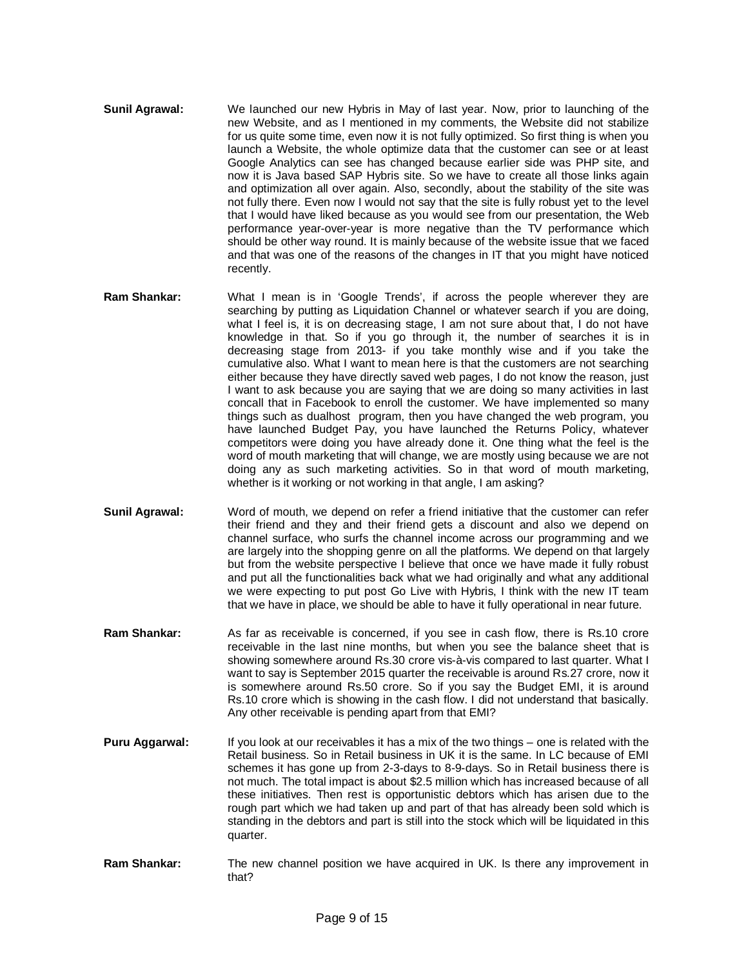- **Sunil Agrawal:** We launched our new Hybris in May of last year. Now, prior to launching of the new Website, and as I mentioned in my comments, the Website did not stabilize for us quite some time, even now it is not fully optimized. So first thing is when you launch a Website, the whole optimize data that the customer can see or at least Google Analytics can see has changed because earlier side was PHP site, and now it is Java based SAP Hybris site. So we have to create all those links again and optimization all over again. Also, secondly, about the stability of the site was not fully there. Even now I would not say that the site is fully robust yet to the level that I would have liked because as you would see from our presentation, the Web performance year-over-year is more negative than the TV performance which should be other way round. It is mainly because of the website issue that we faced and that was one of the reasons of the changes in IT that you might have noticed recently.
- **Ram Shankar:** What I mean is in 'Google Trends', if across the people wherever they are searching by putting as Liquidation Channel or whatever search if you are doing, what I feel is, it is on decreasing stage, I am not sure about that, I do not have knowledge in that. So if you go through it, the number of searches it is in decreasing stage from 2013- if you take monthly wise and if you take the cumulative also. What I want to mean here is that the customers are not searching either because they have directly saved web pages, I do not know the reason, just I want to ask because you are saying that we are doing so many activities in last concall that in Facebook to enroll the customer. We have implemented so many things such as dualhost program, then you have changed the web program, you have launched Budget Pay, you have launched the Returns Policy, whatever competitors were doing you have already done it. One thing what the feel is the word of mouth marketing that will change, we are mostly using because we are not doing any as such marketing activities. So in that word of mouth marketing, whether is it working or not working in that angle, I am asking?
- **Sunil Agrawal:** Word of mouth, we depend on refer a friend initiative that the customer can refer their friend and they and their friend gets a discount and also we depend on channel surface, who surfs the channel income across our programming and we are largely into the shopping genre on all the platforms. We depend on that largely but from the website perspective I believe that once we have made it fully robust and put all the functionalities back what we had originally and what any additional we were expecting to put post Go Live with Hybris, I think with the new IT team that we have in place, we should be able to have it fully operational in near future.
- **Ram Shankar:** As far as receivable is concerned, if you see in cash flow, there is Rs.10 crore receivable in the last nine months, but when you see the balance sheet that is showing somewhere around Rs.30 crore vis-à-vis compared to last quarter. What I want to say is September 2015 quarter the receivable is around Rs.27 crore, now it is somewhere around Rs.50 crore. So if you say the Budget EMI, it is around Rs.10 crore which is showing in the cash flow. I did not understand that basically. Any other receivable is pending apart from that EMI?
- **Puru Aggarwal:** If you look at our receivables it has a mix of the two things one is related with the Retail business. So in Retail business in UK it is the same. In LC because of EMI schemes it has gone up from 2-3-days to 8-9-days. So in Retail business there is not much. The total impact is about \$2.5 million which has increased because of all these initiatives. Then rest is opportunistic debtors which has arisen due to the rough part which we had taken up and part of that has already been sold which is standing in the debtors and part is still into the stock which will be liquidated in this quarter.
- **Ram Shankar:** The new channel position we have acquired in UK. Is there any improvement in that?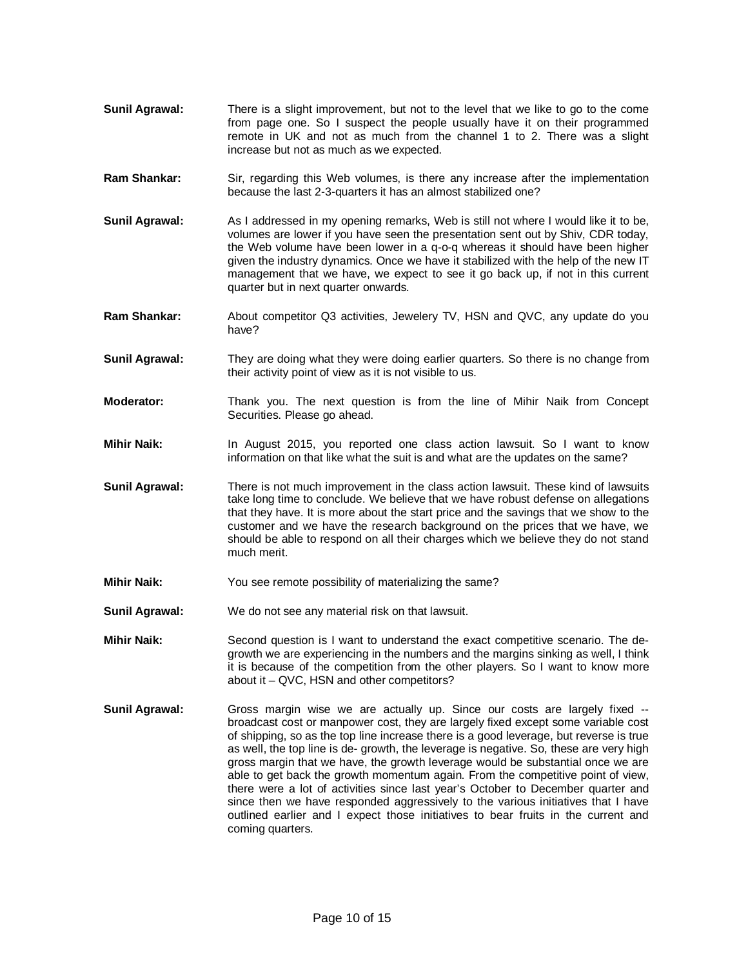- **Sunil Agrawal:** There is a slight improvement, but not to the level that we like to go to the come from page one. So I suspect the people usually have it on their programmed remote in UK and not as much from the channel 1 to 2. There was a slight increase but not as much as we expected.
- **Ram Shankar:** Sir, regarding this Web volumes, is there any increase after the implementation because the last 2-3-quarters it has an almost stabilized one?
- **Sunil Agrawal:** As I addressed in my opening remarks, Web is still not where I would like it to be, volumes are lower if you have seen the presentation sent out by Shiv, CDR today, the Web volume have been lower in a q-o-q whereas it should have been higher given the industry dynamics. Once we have it stabilized with the help of the new IT management that we have, we expect to see it go back up, if not in this current quarter but in next quarter onwards.
- **Ram Shankar:** About competitor Q3 activities, Jewelery TV, HSN and QVC, any update do you have?
- **Sunil Agrawal:** They are doing what they were doing earlier quarters. So there is no change from their activity point of view as it is not visible to us.
- **Moderator:** Thank you. The next question is from the line of Mihir Naik from Concept Securities. Please go ahead.
- **Mihir Naik:** In August 2015, you reported one class action lawsuit. So I want to know information on that like what the suit is and what are the updates on the same?
- **Sunil Agrawal:** There is not much improvement in the class action lawsuit. These kind of lawsuits take long time to conclude. We believe that we have robust defense on allegations that they have. It is more about the start price and the savings that we show to the customer and we have the research background on the prices that we have, we should be able to respond on all their charges which we believe they do not stand much merit.
- **Mihir Naik:** You see remote possibility of materializing the same?
- **Sunil Agrawal:** We do not see any material risk on that lawsuit.
- **Mihir Naik:** Second question is I want to understand the exact competitive scenario. The degrowth we are experiencing in the numbers and the margins sinking as well, I think it is because of the competition from the other players. So I want to know more about it – QVC, HSN and other competitors?
- **Sunil Agrawal:** Gross margin wise we are actually up. Since our costs are largely fixed -broadcast cost or manpower cost, they are largely fixed except some variable cost of shipping, so as the top line increase there is a good leverage, but reverse is true as well, the top line is de- growth, the leverage is negative. So, these are very high gross margin that we have, the growth leverage would be substantial once we are able to get back the growth momentum again. From the competitive point of view, there were a lot of activities since last year's October to December quarter and since then we have responded aggressively to the various initiatives that I have outlined earlier and I expect those initiatives to bear fruits in the current and coming quarters.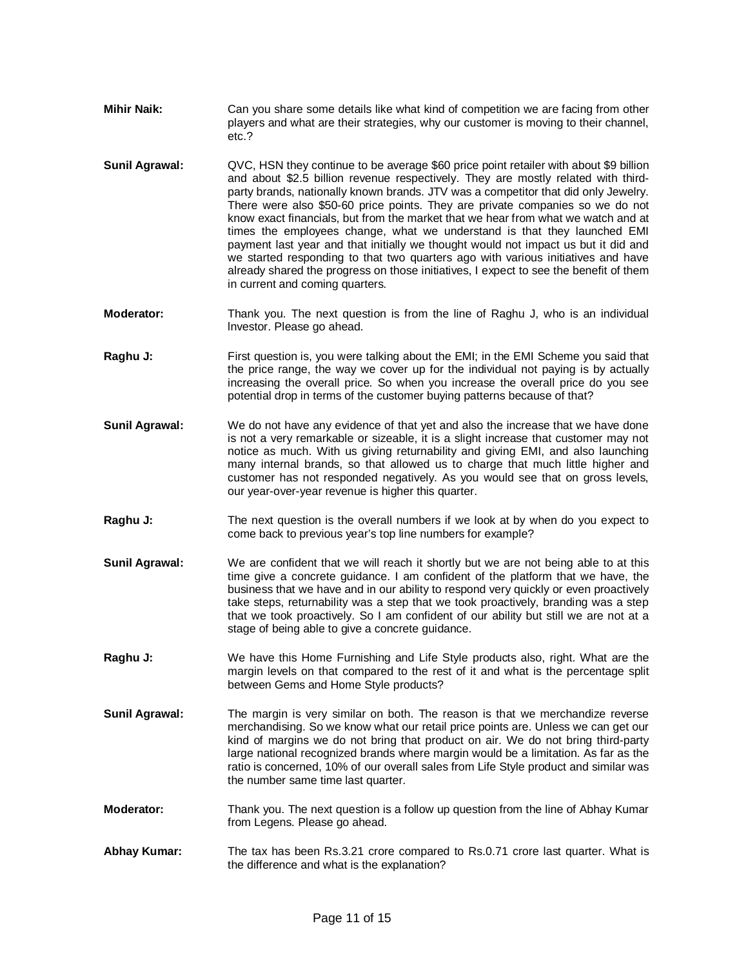- **Mihir Naik:** Can you share some details like what kind of competition we are facing from other players and what are their strategies, why our customer is moving to their channel, etc.?
- **Sunil Agrawal:** QVC, HSN they continue to be average \$60 price point retailer with about \$9 billion and about \$2.5 billion revenue respectively. They are mostly related with thirdparty brands, nationally known brands. JTV was a competitor that did only Jewelry. There were also \$50-60 price points. They are private companies so we do not know exact financials, but from the market that we hear from what we watch and at times the employees change, what we understand is that they launched EMI payment last year and that initially we thought would not impact us but it did and we started responding to that two quarters ago with various initiatives and have already shared the progress on those initiatives, I expect to see the benefit of them in current and coming quarters.
- **Moderator:** Thank you. The next question is from the line of Raghu J, who is an individual lnvestor. Please go ahead.
- **Raghu J:** First question is, you were talking about the EMI; in the EMI Scheme you said that the price range, the way we cover up for the individual not paying is by actually increasing the overall price. So when you increase the overall price do you see potential drop in terms of the customer buying patterns because of that?
- **Sunil Agrawal:** We do not have any evidence of that yet and also the increase that we have done is not a very remarkable or sizeable, it is a slight increase that customer may not notice as much. With us giving returnability and giving EMI, and also launching many internal brands, so that allowed us to charge that much little higher and customer has not responded negatively. As you would see that on gross levels, our year-over-year revenue is higher this quarter.
- **Raghu J:** The next question is the overall numbers if we look at by when do you expect to come back to previous year's top line numbers for example?
- **Sunil Agrawal:** We are confident that we will reach it shortly but we are not being able to at this time give a concrete guidance. I am confident of the platform that we have, the business that we have and in our ability to respond very quickly or even proactively take steps, returnability was a step that we took proactively, branding was a step that we took proactively. So I am confident of our ability but still we are not at a stage of being able to give a concrete guidance.
- **Raghu J:** We have this Home Furnishing and Life Style products also, right. What are the margin levels on that compared to the rest of it and what is the percentage split between Gems and Home Style products?
- **Sunil Agrawal:** The margin is very similar on both. The reason is that we merchandize reverse merchandising. So we know what our retail price points are. Unless we can get our kind of margins we do not bring that product on air. We do not bring third-party large national recognized brands where margin would be a limitation. As far as the ratio is concerned, 10% of our overall sales from Life Style product and similar was the number same time last quarter.
- **Moderator:** Thank you. The next question is a follow up question from the line of Abhay Kumar from Legens. Please go ahead.
- **Abhay Kumar:** The tax has been Rs.3.21 crore compared to Rs.0.71 crore last quarter. What is the difference and what is the explanation?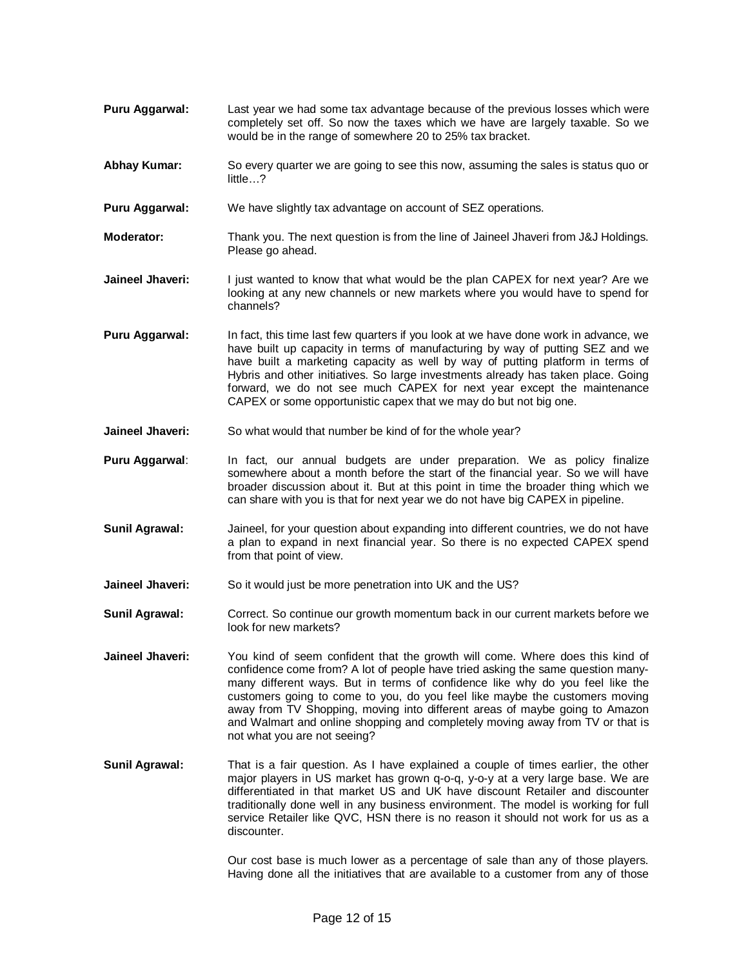- **Puru Aggarwal:** Last year we had some tax advantage because of the previous losses which were completely set off. So now the taxes which we have are largely taxable. So we would be in the range of somewhere 20 to 25% tax bracket.
- **Abhay Kumar:** So every quarter we are going to see this now, assuming the sales is status quo or little…?
- **Puru Aggarwal:** We have slightly tax advantage on account of SEZ operations.
- **Moderator:** Thank you. The next question is from the line of Jaineel Jhaveri from J&J Holdings. Please go ahead.
- **Jaineel Jhaveri:** I just wanted to know that what would be the plan CAPEX for next year? Are we looking at any new channels or new markets where you would have to spend for channels?
- **Puru Aggarwal:** In fact, this time last few quarters if you look at we have done work in advance, we have built up capacity in terms of manufacturing by way of putting SEZ and we have built a marketing capacity as well by way of putting platform in terms of Hybris and other initiatives. So large investments already has taken place. Going forward, we do not see much CAPEX for next year except the maintenance CAPEX or some opportunistic capex that we may do but not big one.
- **Jaineel Jhaveri:** So what would that number be kind of for the whole year?
- Puru Aggarwal: In fact, our annual budgets are under preparation. We as policy finalize somewhere about a month before the start of the financial year. So we will have broader discussion about it. But at this point in time the broader thing which we can share with you is that for next year we do not have big CAPEX in pipeline.
- **Sunil Agrawal:** Jaineel, for your question about expanding into different countries, we do not have a plan to expand in next financial year. So there is no expected CAPEX spend from that point of view.
- **Jaineel Jhaveri:** So it would just be more penetration into UK and the US?
- **Sunil Agrawal:** Correct. So continue our growth momentum back in our current markets before we look for new markets?
- **Jaineel Jhaveri:** You kind of seem confident that the growth will come. Where does this kind of confidence come from? A lot of people have tried asking the same question manymany different ways. But in terms of confidence like why do you feel like the customers going to come to you, do you feel like maybe the customers moving away from TV Shopping, moving into different areas of maybe going to Amazon and Walmart and online shopping and completely moving away from TV or that is not what you are not seeing?
- **Sunil Agrawal:** That is a fair question. As I have explained a couple of times earlier, the other major players in US market has grown q-o-q, y-o-y at a very large base. We are differentiated in that market US and UK have discount Retailer and discounter traditionally done well in any business environment. The model is working for full service Retailer like QVC, HSN there is no reason it should not work for us as a discounter.

Our cost base is much lower as a percentage of sale than any of those players. Having done all the initiatives that are available to a customer from any of those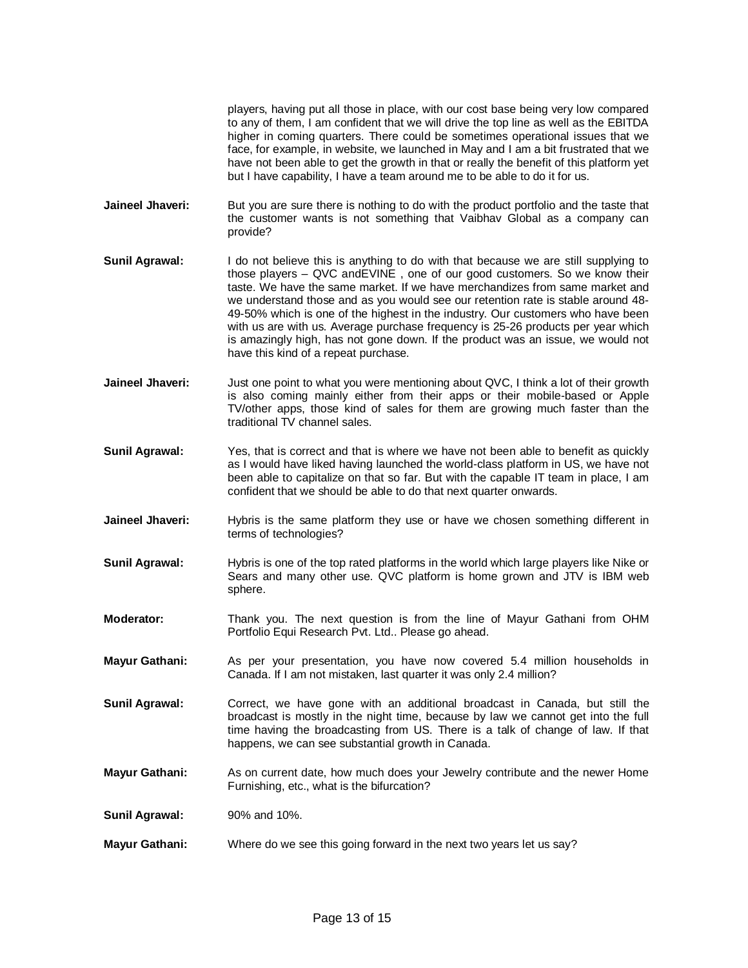players, having put all those in place, with our cost base being very low compared to any of them, I am confident that we will drive the top line as well as the EBITDA higher in coming quarters. There could be sometimes operational issues that we face, for example, in website, we launched in May and I am a bit frustrated that we have not been able to get the growth in that or really the benefit of this platform yet but I have capability, I have a team around me to be able to do it for us.

**Jaineel Jhaveri:** But you are sure there is nothing to do with the product portfolio and the taste that the customer wants is not something that Vaibhav Global as a company can provide?

- **Sunil Agrawal:** I do not believe this is anything to do with that because we are still supplying to those players – QVC andEVINE , one of our good customers. So we know their taste. We have the same market. If we have merchandizes from same market and we understand those and as you would see our retention rate is stable around 48- 49-50% which is one of the highest in the industry. Our customers who have been with us are with us. Average purchase frequency is 25-26 products per year which is amazingly high, has not gone down. If the product was an issue, we would not have this kind of a repeat purchase.
- **Jaineel Jhaveri:** Just one point to what you were mentioning about QVC, I think a lot of their growth is also coming mainly either from their apps or their mobile-based or Apple TV/other apps, those kind of sales for them are growing much faster than the traditional TV channel sales.
- **Sunil Agrawal:** Yes, that is correct and that is where we have not been able to benefit as quickly as I would have liked having launched the world-class platform in US, we have not been able to capitalize on that so far. But with the capable IT team in place, I am confident that we should be able to do that next quarter onwards.
- **Jaineel Jhaveri:** Hybris is the same platform they use or have we chosen something different in terms of technologies?
- **Sunil Agrawal:** Hybris is one of the top rated platforms in the world which large players like Nike or Sears and many other use. QVC platform is home grown and JTV is IBM web sphere.
- **Moderator:** Thank you. The next question is from the line of Mayur Gathani from OHM Portfolio Equi Research Pvt. Ltd.. Please go ahead.
- **Mayur Gathani:** As per your presentation, you have now covered 5.4 million households in Canada. If I am not mistaken, last quarter it was only 2.4 million?
- **Sunil Agrawal:** Correct, we have gone with an additional broadcast in Canada, but still the broadcast is mostly in the night time, because by law we cannot get into the full time having the broadcasting from US. There is a talk of change of law. If that happens, we can see substantial growth in Canada.
- **Mayur Gathani:** As on current date, how much does your Jewelry contribute and the newer Home Furnishing, etc., what is the bifurcation?
- **Sunil Agrawal:** 90% and 10%.
- **Mayur Gathani:** Where do we see this going forward in the next two years let us say?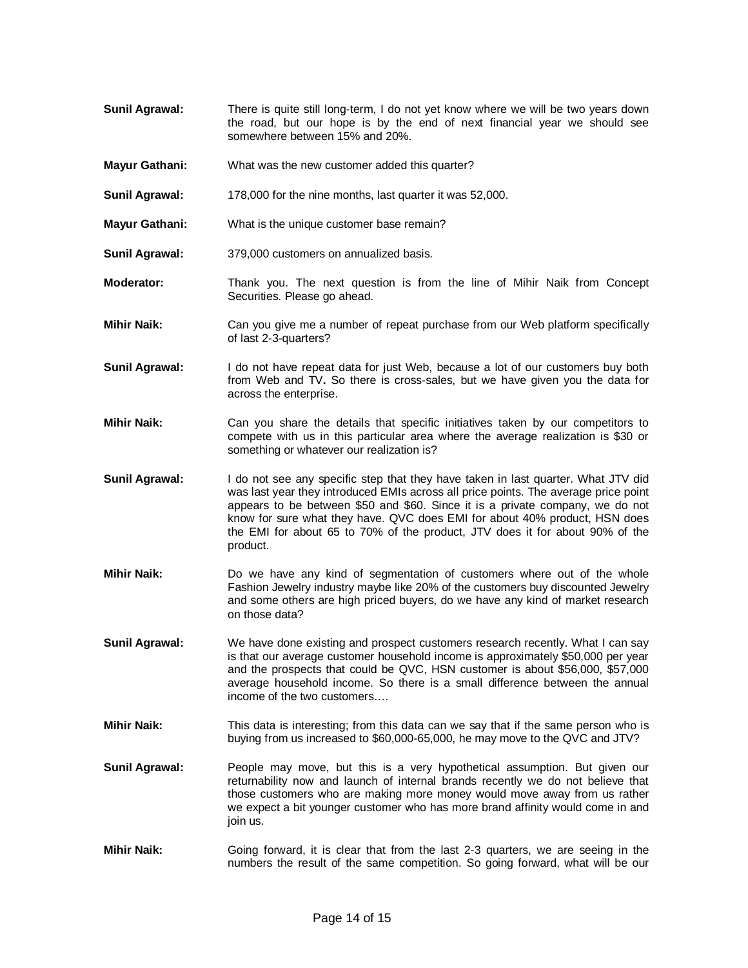- **Sunil Agrawal:** There is quite still long-term, I do not yet know where we will be two years down the road, but our hope is by the end of next financial year we should see somewhere between 15% and 20%.
- **Mayur Gathani:** What was the new customer added this quarter?
- **Sunil Agrawal:** 178,000 for the nine months, last quarter it was 52,000.
- **Mayur Gathani:** What is the unique customer base remain?
- **Sunil Agrawal:** 379,000 customers on annualized basis.
- **Moderator:** Thank you. The next question is from the line of Mihir Naik from Concept Securities. Please go ahead.
- **Mihir Naik:** Can you give me a number of repeat purchase from our Web platform specifically of last 2-3-quarters?
- **Sunil Agrawal:** I do not have repeat data for just Web, because a lot of our customers buy both from Web and TV**.** So there is cross-sales, but we have given you the data for across the enterprise.
- **Mihir Naik:** Can you share the details that specific initiatives taken by our competitors to compete with us in this particular area where the average realization is \$30 or something or whatever our realization is?
- **Sunil Agrawal:** I do not see any specific step that they have taken in last quarter. What JTV did was last year they introduced EMIs across all price points. The average price point appears to be between \$50 and \$60. Since it is a private company, we do not know for sure what they have. QVC does EMI for about 40% product, HSN does the EMI for about 65 to 70% of the product, JTV does it for about 90% of the product.
- **Mihir Naik:** Do we have any kind of segmentation of customers where out of the whole Fashion Jewelry industry maybe like 20% of the customers buy discounted Jewelry and some others are high priced buyers, do we have any kind of market research on those data?
- **Sunil Agrawal:** We have done existing and prospect customers research recently. What I can say is that our average customer household income is approximately \$50,000 per year and the prospects that could be QVC, HSN customer is about \$56,000, \$57,000 average household income. So there is a small difference between the annual income of the two customers….
- **Mihir Naik:** This data is interesting; from this data can we say that if the same person who is buying from us increased to \$60,000-65,000, he may move to the QVC and JTV?
- **Sunil Agrawal:** People may move, but this is a very hypothetical assumption. But given our returnability now and launch of internal brands recently we do not believe that those customers who are making more money would move away from us rather we expect a bit younger customer who has more brand affinity would come in and join us.
- **Mihir Naik:** Going forward, it is clear that from the last 2-3 quarters, we are seeing in the numbers the result of the same competition. So going forward, what will be our